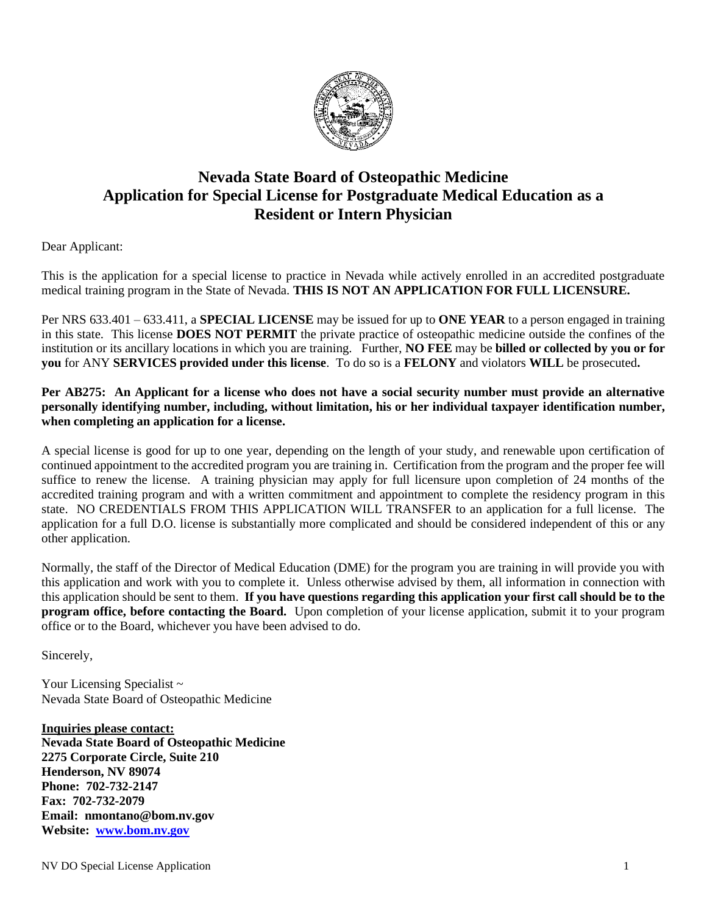

## **Nevada State Board of Osteopathic Medicine Application for Special License for Postgraduate Medical Education as a Resident or Intern Physician**

Dear Applicant:

This is the application for a special license to practice in Nevada while actively enrolled in an accredited postgraduate medical training program in the State of Nevada. **THIS IS NOT AN APPLICATION FOR FULL LICENSURE.** 

Per NRS 633.401 – 633.411, a **SPECIAL LICENSE** may be issued for up to **ONE YEAR** to a person engaged in training in this state. This license **DOES NOT PERMIT** the private practice of osteopathic medicine outside the confines of the institution or its ancillary locations in which you are training. Further, **NO FEE** may be **billed or collected by you or for you** for ANY **SERVICES provided under this license**. To do so is a **FELONY** and violators **WILL** be prosecuted**.** 

**Per AB275: An Applicant for a license who does not have a social security number must provide an alternative personally identifying number, including, without limitation, his or her individual taxpayer identification number, when completing an application for a license.**

A special license is good for up to one year, depending on the length of your study, and renewable upon certification of continued appointment to the accredited program you are training in. Certification from the program and the proper fee will suffice to renew the license. A training physician may apply for full licensure upon completion of 24 months of the accredited training program and with a written commitment and appointment to complete the residency program in this state. NO CREDENTIALS FROM THIS APPLICATION WILL TRANSFER to an application for a full license. The application for a full D.O. license is substantially more complicated and should be considered independent of this or any other application.

Normally, the staff of the Director of Medical Education (DME) for the program you are training in will provide you with this application and work with you to complete it. Unless otherwise advised by them, all information in connection with this application should be sent to them. **If you have questions regarding this application your first call should be to the program office, before contacting the Board.** Upon completion of your license application, submit it to your program office or to the Board, whichever you have been advised to do.

Sincerely,

Your Licensing Specialist ~ Nevada State Board of Osteopathic Medicine

**Inquiries please contact: Nevada State Board of Osteopathic Medicine 2275 Corporate Circle, Suite 210 Henderson, NV 89074 Phone: 702-732-2147 Fax: 702-732-2079 Email: nmontano@bom.nv.gov Website: [www.bom.nv.gov](http://www.bom.nv.gov/)**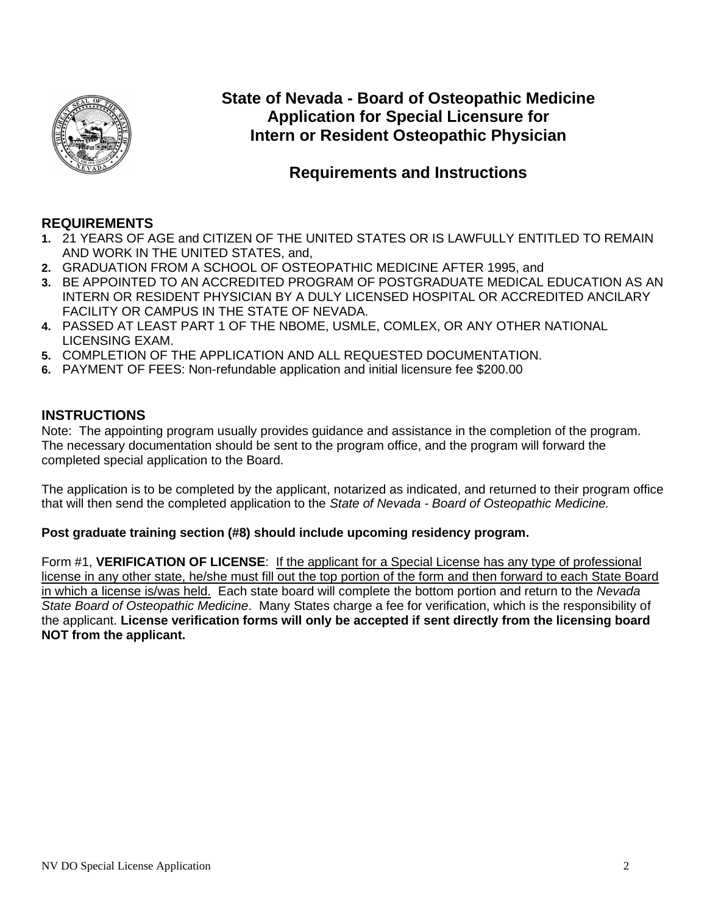

**State of Nevada - Board of Osteopathic Medicine Application for Special Licensure for Intern or Resident Osteopathic Physician** 

## **Requirements and Instructions**

## **REQUIREMENTS**

- **1.** 21 YEARS OF AGE and CITIZEN OF THE UNITED STATES OR IS LAWFULLY ENTITLED TO REMAIN AND WORK IN THE UNITED STATES, and,
- **2.** GRADUATION FROM A SCHOOL OF OSTEOPATHIC MEDICINE AFTER 1995, and
- **3.** BE APPOINTED TO AN ACCREDITED PROGRAM OF POSTGRADUATE MEDICAL EDUCATION AS AN INTERN OR RESIDENT PHYSICIAN BY A DULY LICENSED HOSPITAL OR ACCREDITED ANCILARY FACILITY OR CAMPUS IN THE STATE OF NEVADA.
- **4.** PASSED AT LEAST PART 1 OF THE NBOME, USMLE, COMLEX, OR ANY OTHER NATIONAL LICENSING EXAM.
- **5.** COMPLETION OF THE APPLICATION AND ALL REQUESTED DOCUMENTATION.
- **6.** PAYMENT OF FEES: Non-refundable application and initial licensure fee \$200.00

## **INSTRUCTIONS**

Note: The appointing program usually provides guidance and assistance in the completion of the program. The necessary documentation should be sent to the program office, and the program will forward the completed special application to the Board.

The application is to be completed by the applicant, notarized as indicated, and returned to their program office that will then send the completed application to the *State of Nevada - Board of Osteopathic Medicine.*

### **Post graduate training section (#8) should include upcoming residency program.**

Form #1, **VERIFICATION OF LICENSE**: If the applicant for a Special License has any type of professional license in any other state, he/she must fill out the top portion of the form and then forward to each State Board in which a license is/was held. Each state board will complete the bottom portion and return to the *Nevada State Board of Osteopathic Medicine*. Many States charge a fee for verification, which is the responsibility of the applicant. **License verification forms will only be accepted if sent directly from the licensing board NOT from the applicant.**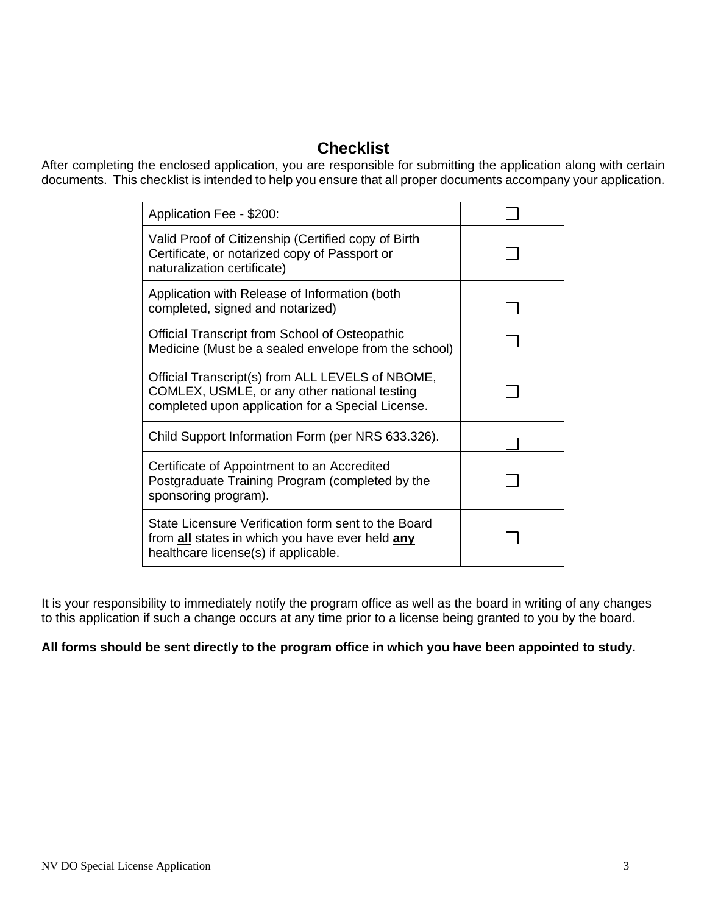# **Checklist**

After completing the enclosed application, you are responsible for submitting the application along with certain documents. This checklist is intended to help you ensure that all proper documents accompany your application.

| Application Fee - \$200:                                                                                                                                     |  |
|--------------------------------------------------------------------------------------------------------------------------------------------------------------|--|
| Valid Proof of Citizenship (Certified copy of Birth<br>Certificate, or notarized copy of Passport or<br>naturalization certificate)                          |  |
| Application with Release of Information (both<br>completed, signed and notarized)                                                                            |  |
| Official Transcript from School of Osteopathic<br>Medicine (Must be a sealed envelope from the school)                                                       |  |
| Official Transcript(s) from ALL LEVELS of NBOME,<br>COMLEX, USMLE, or any other national testing<br>completed upon application for a Special License.        |  |
| Child Support Information Form (per NRS 633.326).                                                                                                            |  |
| Certificate of Appointment to an Accredited<br>Postgraduate Training Program (completed by the<br>sponsoring program).                                       |  |
| State Licensure Verification form sent to the Board<br>from <b>all</b> states in which you have ever held <b>any</b><br>healthcare license(s) if applicable. |  |

It is your responsibility to immediately notify the program office as well as the board in writing of any changes to this application if such a change occurs at any time prior to a license being granted to you by the board.

## **All forms should be sent directly to the program office in which you have been appointed to study.**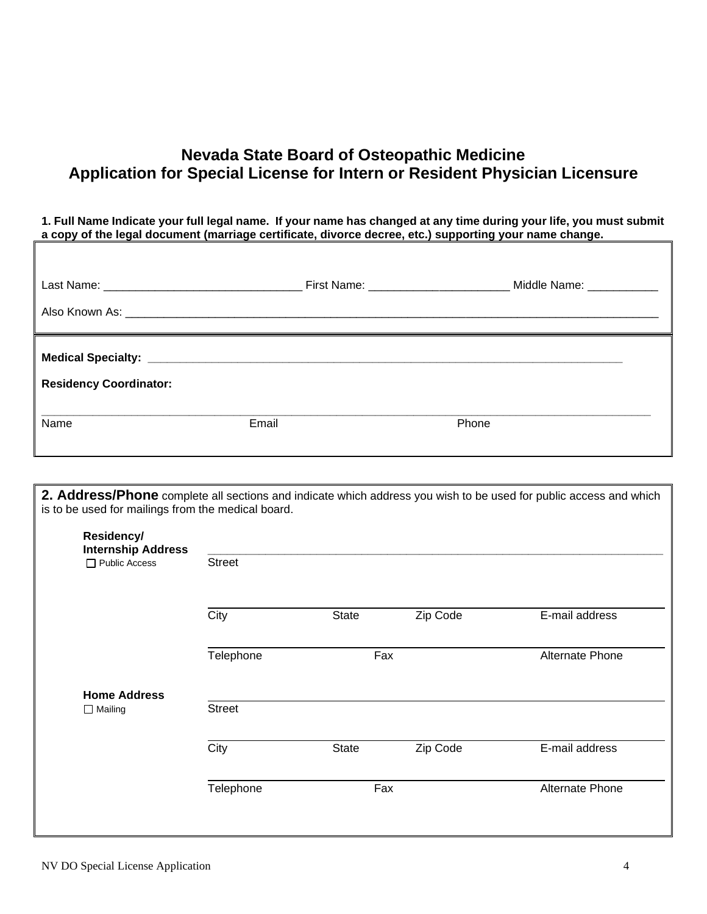# **Nevada State Board of Osteopathic Medicine Application for Special License for Intern or Resident Physician Licensure**

**1. Full Name Indicate your full legal name. If your name has changed at any time during your life, you must submit a copy of the legal document (marriage certificate, divorce decree, etc.) supporting your name change.**

|                               |       | Middle Name: ____________ |
|-------------------------------|-------|---------------------------|
| <b>Residency Coordinator:</b> |       |                           |
| Name                          | Email | Phone                     |

**2. Address/Phone** complete all sections and indicate which address you wish to be used for public access and which is to be used for mailings from the medical board.

| <b>Internship Address</b><br>Public Access | <b>Street</b> |       |          |                 |
|--------------------------------------------|---------------|-------|----------|-----------------|
|                                            | City          | State | Zip Code | E-mail address  |
|                                            | Telephone     | Fax   |          | Alternate Phone |
| <b>Home Address</b><br>$\Box$ Mailing      | <b>Street</b> |       |          |                 |
|                                            | City          | State | Zip Code | E-mail address  |
|                                            | Telephone     | Fax   |          | Alternate Phone |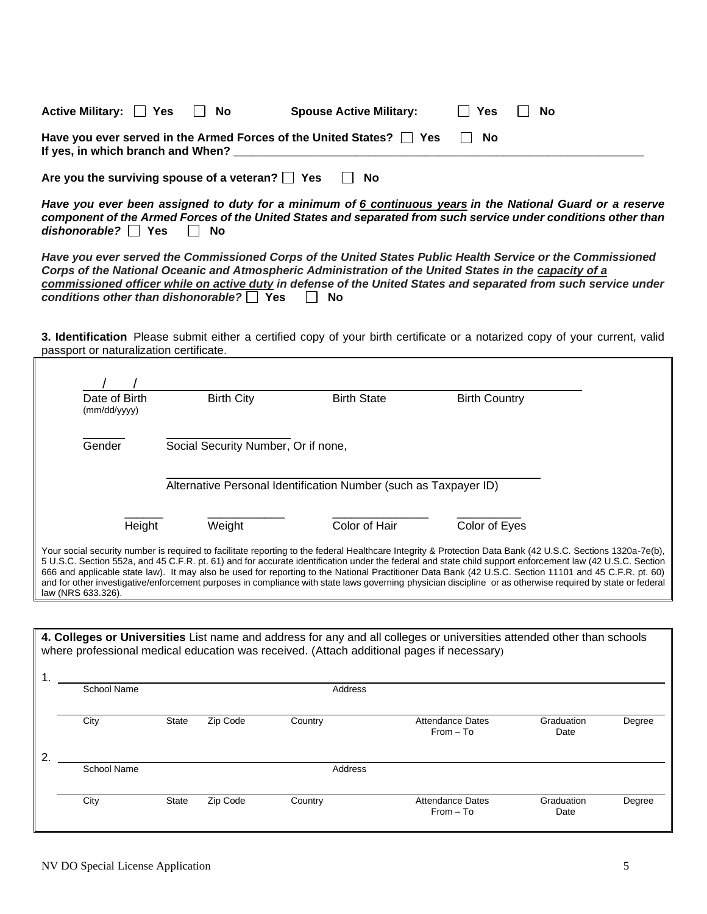| Active Military: $\Box$ Yes                                                                                    | II No | <b>Spouse Active Military:</b> | □ Yes | II No |
|----------------------------------------------------------------------------------------------------------------|-------|--------------------------------|-------|-------|
| Have you ever served in the Armed Forces of the United States? $\Box$ Yes<br>If yes, in which branch and When? |       | II No                          |       |       |
|                                                                                                                |       |                                |       |       |

Are you the surviving spouse of a veteran?  $\Box$  Yes  $\Box$  No

*Have you ever been assigned to duty for a minimum of 6 continuous years in the National Guard or a reserve component of the Armed Forces of the United States and separated from such service under conditions other than dishonorable?* □ Yes □ No

*Have you ever served the Commissioned Corps of the United States Public Health Service or the Commissioned Corps of the National Oceanic and Atmospheric Administration of the United States in the capacity of a commissioned officer while on active duty in defense of the United States and separated from such service under conditions other than dishonorable?* Yes No

**3. Identification** Please submit either a certified copy of your birth certificate or a notarized copy of your current, valid passport or naturalization certificate.

| Date of Birth<br>(mm/dd/yyyy) | <b>Birth City</b>                   | <b>Birth State</b>                                               | <b>Birth Country</b>                                                                                                                                                                                                                                                                                                                                                                                                                                                                                                                                                                                                                             |  |
|-------------------------------|-------------------------------------|------------------------------------------------------------------|--------------------------------------------------------------------------------------------------------------------------------------------------------------------------------------------------------------------------------------------------------------------------------------------------------------------------------------------------------------------------------------------------------------------------------------------------------------------------------------------------------------------------------------------------------------------------------------------------------------------------------------------------|--|
| Gender                        | Social Security Number, Or if none, |                                                                  |                                                                                                                                                                                                                                                                                                                                                                                                                                                                                                                                                                                                                                                  |  |
|                               |                                     | Alternative Personal Identification Number (such as Taxpayer ID) |                                                                                                                                                                                                                                                                                                                                                                                                                                                                                                                                                                                                                                                  |  |
| Height                        | Weight                              | Color of Hair                                                    | Color of Eyes                                                                                                                                                                                                                                                                                                                                                                                                                                                                                                                                                                                                                                    |  |
| law (NRS 633.326).            |                                     |                                                                  | Your social security number is required to facilitate reporting to the federal Healthcare Integrity & Protection Data Bank (42 U.S.C. Sections 1320a-7e(b),<br>5 U.S.C. Section 552a, and 45 C.F.R. pt. 61) and for accurate identification under the federal and state child support enforcement law (42 U.S.C. Section<br>666 and applicable state law). It may also be used for reporting to the National Practitioner Data Bank (42 U.S.C. Section 11101 and 45 C.F.R. pt. 60)<br>and for other investigative/enforcement purposes in compliance with state laws governing physician discipline or as otherwise required by state or federal |  |

|    |             |              |          |         | 4. Colleges or Universities List name and address for any and all colleges or universities attended other than schools<br>where professional medical education was received. (Attach additional pages if necessary) |                    |        |
|----|-------------|--------------|----------|---------|---------------------------------------------------------------------------------------------------------------------------------------------------------------------------------------------------------------------|--------------------|--------|
|    | School Name |              |          | Address |                                                                                                                                                                                                                     |                    |        |
|    | City        | <b>State</b> | Zip Code | Country | Attendance Dates<br>$From - To$                                                                                                                                                                                     | Graduation<br>Date | Degree |
| 2. | School Name |              |          |         |                                                                                                                                                                                                                     |                    |        |
|    |             |              |          | Address |                                                                                                                                                                                                                     |                    |        |
|    | City        | <b>State</b> | Zip Code | Country | Attendance Dates<br>$From - To$                                                                                                                                                                                     | Graduation<br>Date | Degree |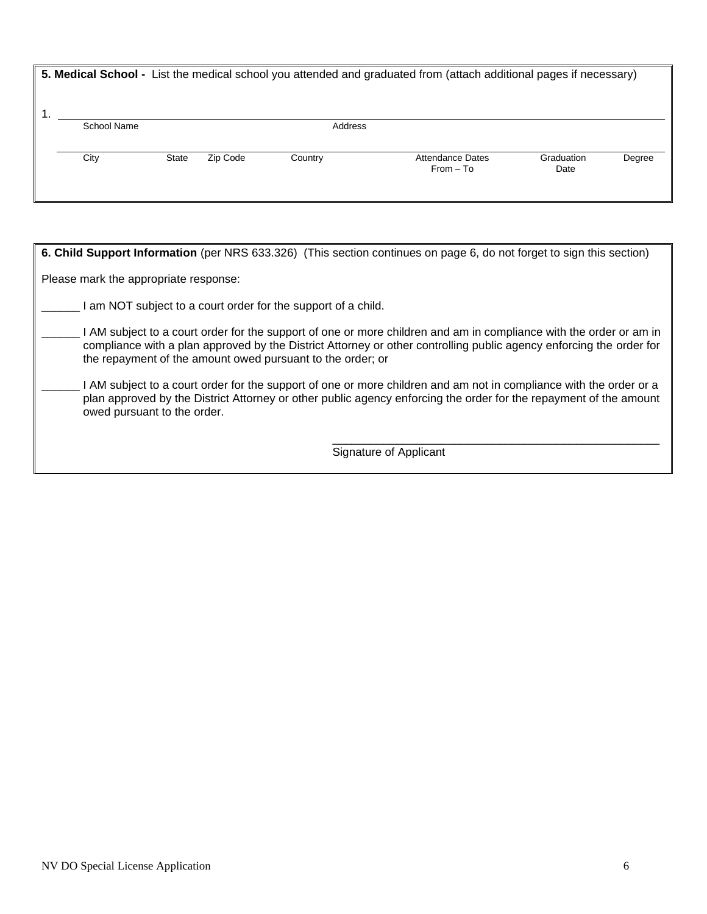|             |       |          |         | 5. Medical School - List the medical school you attended and graduated from (attach additional pages if necessary) |                    |        |
|-------------|-------|----------|---------|--------------------------------------------------------------------------------------------------------------------|--------------------|--------|
| School Name |       |          | Address |                                                                                                                    |                    |        |
| City        | State | Zip Code | Country | <b>Attendance Dates</b><br>$From - To$                                                                             | Graduation<br>Date | Degree |

| 6. Child Support Information (per NRS 633.326) (This section continues on page 6, do not forget to sign this section)                                                                                                                                                                                   |
|---------------------------------------------------------------------------------------------------------------------------------------------------------------------------------------------------------------------------------------------------------------------------------------------------------|
| Please mark the appropriate response:                                                                                                                                                                                                                                                                   |
| I am NOT subject to a court order for the support of a child.                                                                                                                                                                                                                                           |
| I AM subject to a court order for the support of one or more children and am in compliance with the order or am in<br>compliance with a plan approved by the District Attorney or other controlling public agency enforcing the order for<br>the repayment of the amount owed pursuant to the order; or |
| I AM subject to a court order for the support of one or more children and am not in compliance with the order or a<br>plan approved by the District Attorney or other public agency enforcing the order for the repayment of the amount<br>owed pursuant to the order.                                  |
| Signature of Applicant                                                                                                                                                                                                                                                                                  |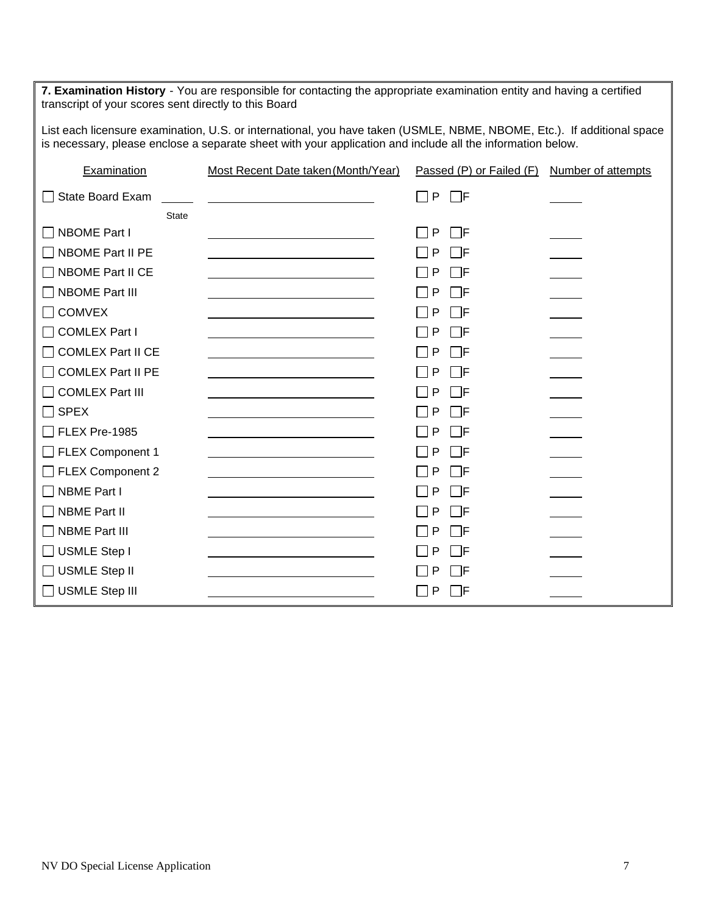**7. Examination History** - You are responsible for contacting the appropriate examination entity and having a certified transcript of your scores sent directly to this Board List each licensure examination, U.S. or international, you have taken (USMLE, NBME, NBOME, Etc.). If additional space is necessary, please enclose a separate sheet with your application and include all the information below. Examination Most Recent Date taken (Month/Year) Passed (P) or Failed (F) Number of attempts  $\Box$  State Board Exam  $\Box$ **State**  $\Box$  NBOME Part I  $\Box$  P  $\Box$  F  $\Box$  NBOME Part II PE  $\Box$  P  $\Box$  P  $\Box$  F  $\Box$  NBOME Part II CE  $\Box$  P  $\Box$  F  $\Box$  NBOME Part III  $\Box$  P  $\Box$  F COMVEX P F  $\Box$  COMLEX Part I  $\Box$  P  $\Box$  F  $\Box$  COMLEX Part II CE  $\Box$  P  $\Box$  P  $\Box$  F  $\Box$  COMLEX Part II PE  $\Box$  P  $\Box$  P  $\Box$  F COMLEX Part III P F  $\Box$  SPEX  $\Box$  P  $\Box$  F  $\Box$  FLEX Pre-1985  $\Box$  P  $\Box$  F  $\Box$  FLEX Component 1  $\Box$  P  $\Box$  F  $\Box$  FLEX Component 2  $\Box$  P  $\Box$  P  $\Box$  F  $\Box$  NBME Part I  $\Box$  P  $\Box$  F  $\Box$  NBME Part II  $\Box$  NBME Part III  $\Box$  P  $\Box$  F  $\Box$  USMLE Step I  $\Box$  P  $\Box$  F USMLE Step II P F  $\Box$  USMLE Step III  $\Box$  P  $\Box$  F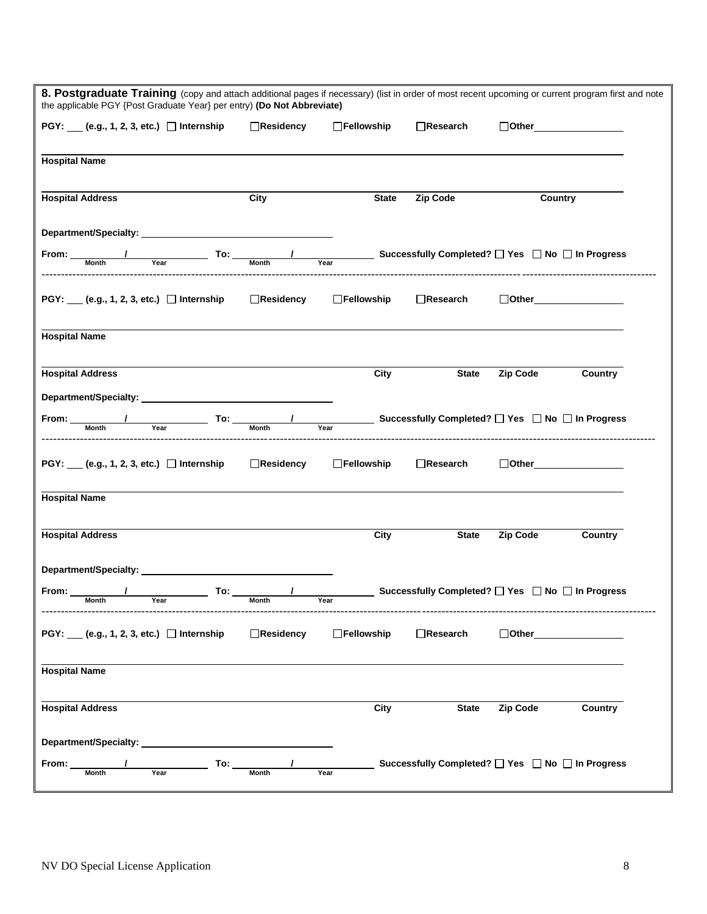| 8. Postgraduate Training (copy and attach additional pages if necessary) (list in order of most recent upcoming or current program first and note<br>the applicable PGY {Post Graduate Year} per entry) (Do Not Abbreviate)                                                                                                                                                                             |                  |                   |                                                  |                                               |         |
|---------------------------------------------------------------------------------------------------------------------------------------------------------------------------------------------------------------------------------------------------------------------------------------------------------------------------------------------------------------------------------------------------------|------------------|-------------------|--------------------------------------------------|-----------------------------------------------|---------|
| $PGY: (e.g., 1, 2, 3, etc.)$ Internship                                                                                                                                                                                                                                                                                                                                                                 | $\Box$ Residency | $\Box$ Fellowship | $\Box$ Research                                  | $\Box$ Other                                  |         |
| <b>Hospital Name</b>                                                                                                                                                                                                                                                                                                                                                                                    |                  |                   |                                                  |                                               |         |
| <b>Hospital Address</b>                                                                                                                                                                                                                                                                                                                                                                                 | City             | <b>State</b>      | <b>Zip Code</b>                                  | Country                                       |         |
| Department/Specialty: 2008 2012 2022 2023 2024 2022 2023 2024 2022 2023 2024 2022 2023 2024 2022 2024 2022 20                                                                                                                                                                                                                                                                                           |                  |                   |                                                  |                                               |         |
| From: $\frac{1}{\frac{1}{\frac{1}{1}}\sqrt{1-\frac{1}{1}}\sqrt{1-\frac{1}{1}}\sqrt{1-\frac{1}{1}}}}$ To: $\frac{1}{\frac{1}{\frac{1}{1}}\sqrt{1-\frac{1}{1}}\sqrt{1-\frac{1}{1}}\sqrt{1-\frac{1}{1}}\sqrt{1-\frac{1}{1}}\sqrt{1-\frac{1}{1}}\sqrt{1-\frac{1}{1}}\sqrt{1-\frac{1}{1}}\sqrt{1-\frac{1}{1}}\sqrt{1-\frac{1}{1}}\sqrt{1-\frac{1}{1}}\sqrt{1-\frac{1}{1}}\sqrt{1-\frac{1}{1}}\sqrt{1-\frac{$ |                  |                   |                                                  |                                               |         |
| PGY: ___ (e.g., 1, 2, 3, etc.) □ Internship                                                                                                                                                                                                                                                                                                                                                             | □Residency       | □Fellowship       | Research                                         | $\Box$ Other $\Box$                           |         |
| <b>Hospital Name</b>                                                                                                                                                                                                                                                                                                                                                                                    |                  |                   |                                                  |                                               |         |
| <b>Hospital Address</b>                                                                                                                                                                                                                                                                                                                                                                                 |                  | City              | <b>State</b>                                     | <b>Zip Code</b>                               | Country |
|                                                                                                                                                                                                                                                                                                                                                                                                         |                  |                   |                                                  |                                               |         |
| $\frac{1}{\text{Year}}$ To: $\frac{1}{\text{Month}}$ Successfully Completed? $\Box$ Yes $\Box$ No $\Box$ In Progress<br>From: Month                                                                                                                                                                                                                                                                     |                  |                   |                                                  |                                               |         |
| PGY: ___ (e.g., 1, 2, 3, etc.) □ Internship                                                                                                                                                                                                                                                                                                                                                             | □Residency       | □Fellowship       | $\Box$ Research                                  | $\Box$ Other $\_\_\_\_\_\_\_\_\_\_\_\_\_\_\_$ |         |
| <b>Hospital Name</b>                                                                                                                                                                                                                                                                                                                                                                                    |                  |                   |                                                  |                                               |         |
| <b>Hospital Address</b>                                                                                                                                                                                                                                                                                                                                                                                 |                  | City              | <b>State</b>                                     | <b>Zip Code</b>                               | Country |
|                                                                                                                                                                                                                                                                                                                                                                                                         |                  |                   |                                                  |                                               |         |
| From: Month<br>$Year$ $TO:$ $Month$                                                                                                                                                                                                                                                                                                                                                                     |                  | Year              | Successfully Completed? □ Yes □ No □ In Progress |                                               |         |
| PGY: ___ (e.g., 1, 2, 3, etc.) □ Internship                                                                                                                                                                                                                                                                                                                                                             | □Residency       | □Fellowship       | $\Box$ Research                                  | $\Box$ Other $\Box$                           |         |
| <b>Hospital Name</b>                                                                                                                                                                                                                                                                                                                                                                                    |                  |                   |                                                  |                                               |         |
| <b>Hospital Address</b>                                                                                                                                                                                                                                                                                                                                                                                 |                  | City              | <b>State</b>                                     | <b>Zip Code</b>                               | Country |
| Department/Specialty: Network of the Contract of the Contract of the Contract of the Contract of the Contract of the Contract of the Contract of the Contract of the Contract of the Contract of the Contract of the Contract                                                                                                                                                                           |                  |                   |                                                  |                                               |         |
| To: $\_$<br>From:<br>Month<br>Year                                                                                                                                                                                                                                                                                                                                                                      | <b>Month</b>     | Year              | Successfully Completed? [ Yes   No   In Progress |                                               |         |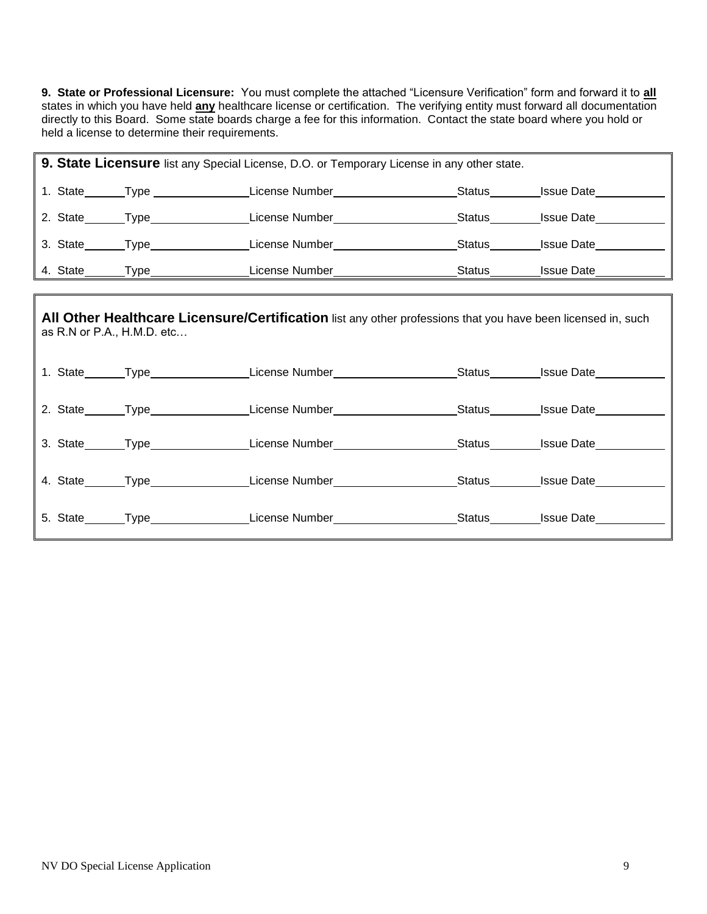**9. State or Professional Licensure:** You must complete the attached "Licensure Verification" form and forward it to **all** states in which you have held **any** healthcare license or certification. The verifying entity must forward all documentation directly to this Board. Some state boards charge a fee for this information. Contact the state board where you hold or held a license to determine their requirements.

|          |                               | 9. State Licensure list any Special License, D.O. or Temporary License in any other state. |        |                   |
|----------|-------------------------------|--------------------------------------------------------------------------------------------|--------|-------------------|
| 1. State | <b>Type contract the Type</b> | License Number                                                                             | Status | <b>Issue Date</b> |
| 2. State | Type                          | License Number                                                                             | Status | <b>Issue Date</b> |
| 3. State | Type                          | License Number                                                                             | Status | <b>Issue Date</b> |
| 4. State | Type                          | License Number                                                                             | Status | <b>Issue Date</b> |

| as $R.N$ or $P.A., H.M.D. etc$ | All Other Healthcare Licensure/Certification list any other professions that you have been licensed in, such     |  |
|--------------------------------|------------------------------------------------------------------------------------------------------------------|--|
|                                | 1. State_______Type_________________License Number____________________Status_________Issue Date___________       |  |
|                                | 2. State Type Contract License Number Contract Status Lissue Date                                                |  |
|                                | 3. State Type Contract License Number Contract Status Status Lissue Date Contract License Number Contract Status |  |
|                                | 4. State Type Cicense Number Castro Status Status Status State Care Castro Contra License Number Castro Status   |  |
|                                | 5. State_______Type_________________License Number____________________Status________Issue Date____________       |  |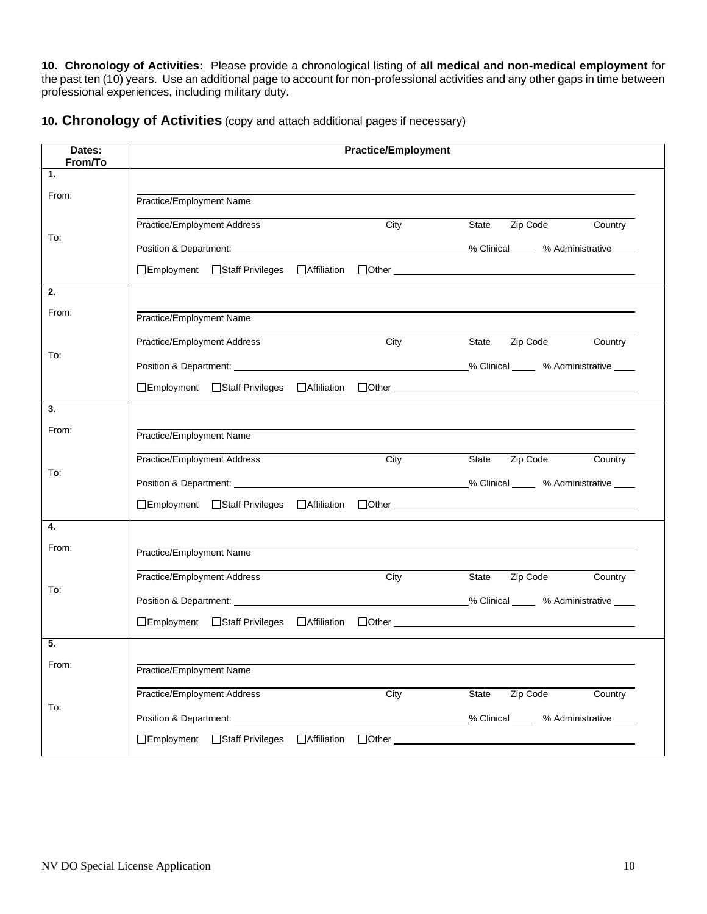**10. Chronology of Activities:** Please provide a chronological listing of **all medical and non-medical employment** for the past ten (10) years. Use an additional page to account for non-professional activities and any other gaps in time between professional experiences, including military duty.

**10. Chronology of Activities** (copy and attach additional pages if necessary)

| Dates:<br>From/To | <b>Practice/Employment</b>                                                                                                                                                                                                                                               |  |  |  |
|-------------------|--------------------------------------------------------------------------------------------------------------------------------------------------------------------------------------------------------------------------------------------------------------------------|--|--|--|
| 1.                |                                                                                                                                                                                                                                                                          |  |  |  |
| From:             | Practice/Employment Name                                                                                                                                                                                                                                                 |  |  |  |
|                   | Practice/Employment Address<br>Zip Code<br>City<br>State<br>Country                                                                                                                                                                                                      |  |  |  |
| To:               |                                                                                                                                                                                                                                                                          |  |  |  |
|                   |                                                                                                                                                                                                                                                                          |  |  |  |
| 2.                |                                                                                                                                                                                                                                                                          |  |  |  |
| From:             | Practice/Employment Name                                                                                                                                                                                                                                                 |  |  |  |
|                   | Practice/Employment Address<br>City<br>State Zip Code<br>Country                                                                                                                                                                                                         |  |  |  |
| To:               |                                                                                                                                                                                                                                                                          |  |  |  |
|                   |                                                                                                                                                                                                                                                                          |  |  |  |
| 3.                |                                                                                                                                                                                                                                                                          |  |  |  |
| From:             | Practice/Employment Name                                                                                                                                                                                                                                                 |  |  |  |
|                   | Practice/Employment Address<br>Zip Code<br>City<br>State<br>Country                                                                                                                                                                                                      |  |  |  |
| To:               |                                                                                                                                                                                                                                                                          |  |  |  |
|                   |                                                                                                                                                                                                                                                                          |  |  |  |
| 4.                |                                                                                                                                                                                                                                                                          |  |  |  |
| From:             | Practice/Employment Name                                                                                                                                                                                                                                                 |  |  |  |
|                   | Practice/Employment Address<br>State <b>Zip Code</b><br>City<br>Country                                                                                                                                                                                                  |  |  |  |
| To:               |                                                                                                                                                                                                                                                                          |  |  |  |
|                   |                                                                                                                                                                                                                                                                          |  |  |  |
| 5.                |                                                                                                                                                                                                                                                                          |  |  |  |
| From:             | Practice/Employment Name                                                                                                                                                                                                                                                 |  |  |  |
|                   | Practice/Employment Address<br>Zip Code<br>State<br>Country<br>City                                                                                                                                                                                                      |  |  |  |
| To:               | Position & Department: University of the Contract of the Contract of the Contract of the Contract of the Contract of the Contract of the Contract of the Contract of the Contract of the Contract of the Contract of the Contr<br>% Clinical _____ % Administrative ____ |  |  |  |
|                   | □Employment □Staff Privileges<br><b>Affiliation</b><br>$\Box$ Other $\_\_$                                                                                                                                                                                               |  |  |  |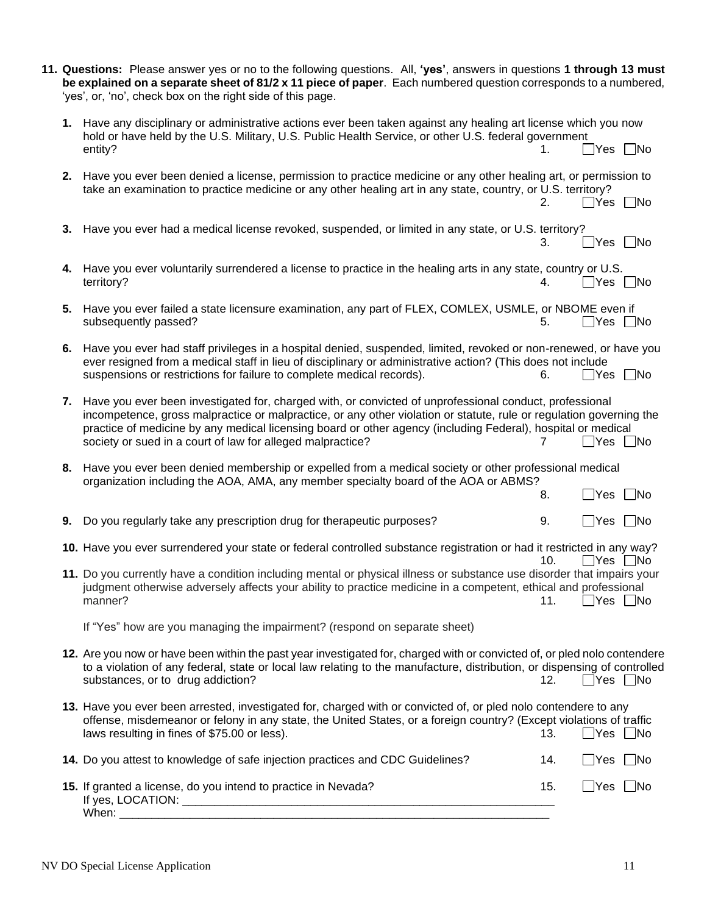|    | 11. Questions: Please answer yes or no to the following questions. All, 'yes', answers in questions 1 through 13 must<br>be explained on a separate sheet of 81/2 x 11 piece of paper. Each numbered question corresponds to a numbered,<br>'yes', or, 'no', check box on the right side of this page.                                                                                                       |     |                      |           |
|----|--------------------------------------------------------------------------------------------------------------------------------------------------------------------------------------------------------------------------------------------------------------------------------------------------------------------------------------------------------------------------------------------------------------|-----|----------------------|-----------|
|    | 1. Have any disciplinary or administrative actions ever been taken against any healing art license which you now<br>hold or have held by the U.S. Military, U.S. Public Health Service, or other U.S. federal government<br>entity?                                                                                                                                                                          |     | ∏Yes ∏No             |           |
|    | 2. Have you ever been denied a license, permission to practice medicine or any other healing art, or permission to<br>take an examination to practice medicine or any other healing art in any state, country, or U.S. territory?                                                                                                                                                                            | 2.  | $\Box$ Yes $\Box$ No |           |
| 3. | Have you ever had a medical license revoked, suspended, or limited in any state, or U.S. territory?                                                                                                                                                                                                                                                                                                          | 3.  | $\Box$ Yes $\Box$ No |           |
|    | 4. Have you ever voluntarily surrendered a license to practice in the healing arts in any state, country or U.S.<br>territory?                                                                                                                                                                                                                                                                               | 4.  | _Yes □No             |           |
|    | 5. Have you ever failed a state licensure examination, any part of FLEX, COMLEX, USMLE, or NBOME even if<br>subsequently passed?                                                                                                                                                                                                                                                                             | 5.  | ∏Yes ∑No             |           |
| 6. | Have you ever had staff privileges in a hospital denied, suspended, limited, revoked or non-renewed, or have you<br>ever resigned from a medical staff in lieu of disciplinary or administrative action? (This does not include<br>suspensions or restrictions for failure to complete medical records).                                                                                                     | 6.  | _Yes □No             |           |
| 7. | Have you ever been investigated for, charged with, or convicted of unprofessional conduct, professional<br>incompetence, gross malpractice or malpractice, or any other violation or statute, rule or regulation governing the<br>practice of medicine by any medical licensing board or other agency (including Federal), hospital or medical<br>society or sued in a court of law for alleged malpractice? |     | $\mathsf{Yes}$       | $\Box$ No |
| 8. | Have you ever been denied membership or expelled from a medical society or other professional medical<br>organization including the AOA, AMA, any member specialty board of the AOA or ABMS?                                                                                                                                                                                                                 | 8.  | $\exists$ Yes        | No        |
| 9. | Do you regularly take any prescription drug for therapeutic purposes?                                                                                                                                                                                                                                                                                                                                        | 9.  | $\Box$ Yes           | ∣ ∣No     |
|    | 10. Have you ever surrendered your state or federal controlled substance registration or had it restricted in any way?                                                                                                                                                                                                                                                                                       | 10. | Yes    No            |           |
|    | 11. Do you currently have a condition including mental or physical illness or substance use disorder that impairs your<br>judgment otherwise adversely affects your ability to practice medicine in a competent, ethical and professional<br>manner?                                                                                                                                                         | 11. | $\Box$ Yes $\Box$ No |           |
|    | If "Yes" how are you managing the impairment? (respond on separate sheet)                                                                                                                                                                                                                                                                                                                                    |     |                      |           |
|    | 12. Are you now or have been within the past year investigated for, charged with or convicted of, or pled nolo contendere<br>to a violation of any federal, state or local law relating to the manufacture, distribution, or dispensing of controlled<br>substances, or to drug addiction?                                                                                                                   | 12. | $\Box$ Yes $\Box$ No |           |
|    | 13. Have you ever been arrested, investigated for, charged with or convicted of, or pled nolo contendere to any<br>offense, misdemeanor or felony in any state, the United States, or a foreign country? (Except violations of traffic<br>laws resulting in fines of \$75.00 or less).                                                                                                                       | 13. | $\Box$ Yes $\Box$ No |           |
|    | 14. Do you attest to knowledge of safe injection practices and CDC Guidelines?                                                                                                                                                                                                                                                                                                                               | 14. | $\Box$ Yes $\Box$ No |           |
|    | 15. If granted a license, do you intend to practice in Nevada?                                                                                                                                                                                                                                                                                                                                               | 15. | $\Box$ Yes $\Box$ No |           |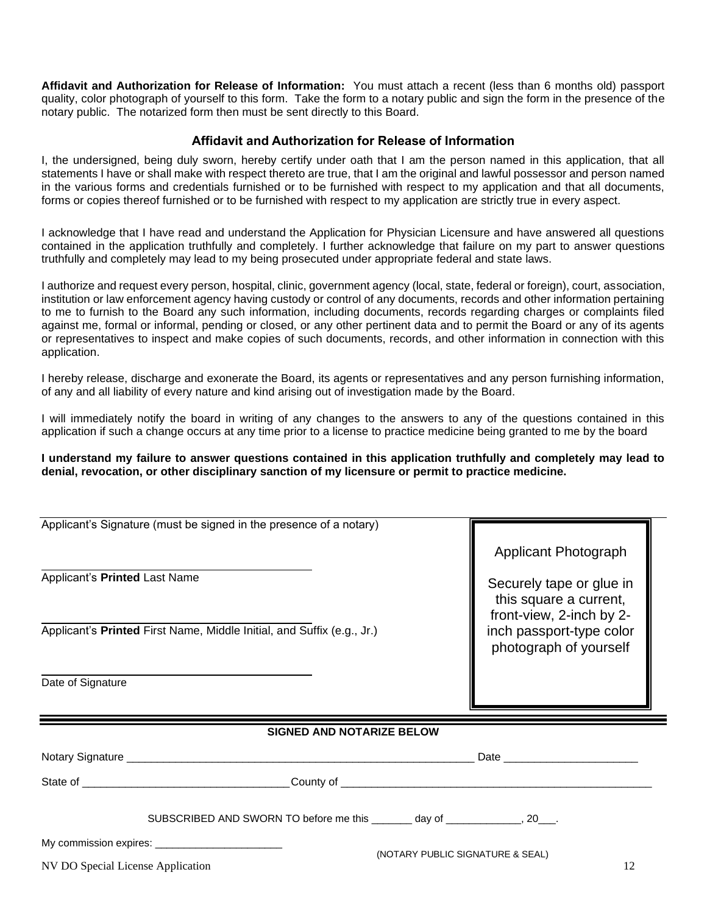**Affidavit and Authorization for Release of Information:** You must attach a recent (less than 6 months old) passport quality, color photograph of yourself to this form. Take the form to a notary public and sign the form in the presence of the notary public. The notarized form then must be sent directly to this Board.

### **Affidavit and Authorization for Release of Information**

I, the undersigned, being duly sworn, hereby certify under oath that I am the person named in this application, that all statements I have or shall make with respect thereto are true, that I am the original and lawful possessor and person named in the various forms and credentials furnished or to be furnished with respect to my application and that all documents, forms or copies thereof furnished or to be furnished with respect to my application are strictly true in every aspect.

I acknowledge that I have read and understand the Application for Physician Licensure and have answered all questions contained in the application truthfully and completely. I further acknowledge that failure on my part to answer questions truthfully and completely may lead to my being prosecuted under appropriate federal and state laws.

I authorize and request every person, hospital, clinic, government agency (local, state, federal or foreign), court, association, institution or law enforcement agency having custody or control of any documents, records and other information pertaining to me to furnish to the Board any such information, including documents, records regarding charges or complaints filed against me, formal or informal, pending or closed, or any other pertinent data and to permit the Board or any of its agents or representatives to inspect and make copies of such documents, records, and other information in connection with this application.

I hereby release, discharge and exonerate the Board, its agents or representatives and any person furnishing information, of any and all liability of every nature and kind arising out of investigation made by the Board.

I will immediately notify the board in writing of any changes to the answers to any of the questions contained in this application if such a change occurs at any time prior to a license to practice medicine being granted to me by the board

**I understand my failure to answer questions contained in this application truthfully and completely may lead to denial, revocation, or other disciplinary sanction of my licensure or permit to practice medicine.**

|                                   | Applicant's Signature (must be signed in the presence of a notary)             |                                                    |  |  |
|-----------------------------------|--------------------------------------------------------------------------------|----------------------------------------------------|--|--|
|                                   |                                                                                | <b>Applicant Photograph</b>                        |  |  |
| Applicant's Printed Last Name     | Securely tape or glue in<br>this square a current,<br>front-view, 2-inch by 2- |                                                    |  |  |
|                                   | Applicant's Printed First Name, Middle Initial, and Suffix (e.g., Jr.)         | inch passport-type color<br>photograph of yourself |  |  |
| Date of Signature                 |                                                                                |                                                    |  |  |
|                                   |                                                                                |                                                    |  |  |
|                                   | <b>SIGNED AND NOTARIZE BELOW</b>                                               |                                                    |  |  |
|                                   |                                                                                |                                                    |  |  |
|                                   |                                                                                |                                                    |  |  |
|                                   | SUBSCRIBED AND SWORN TO before me this ________ day of _____________, 20___.   |                                                    |  |  |
| (NOTARY PUBLIC SIGNATURE & SEAL)  |                                                                                |                                                    |  |  |
| NV DO Special License Application |                                                                                | 12                                                 |  |  |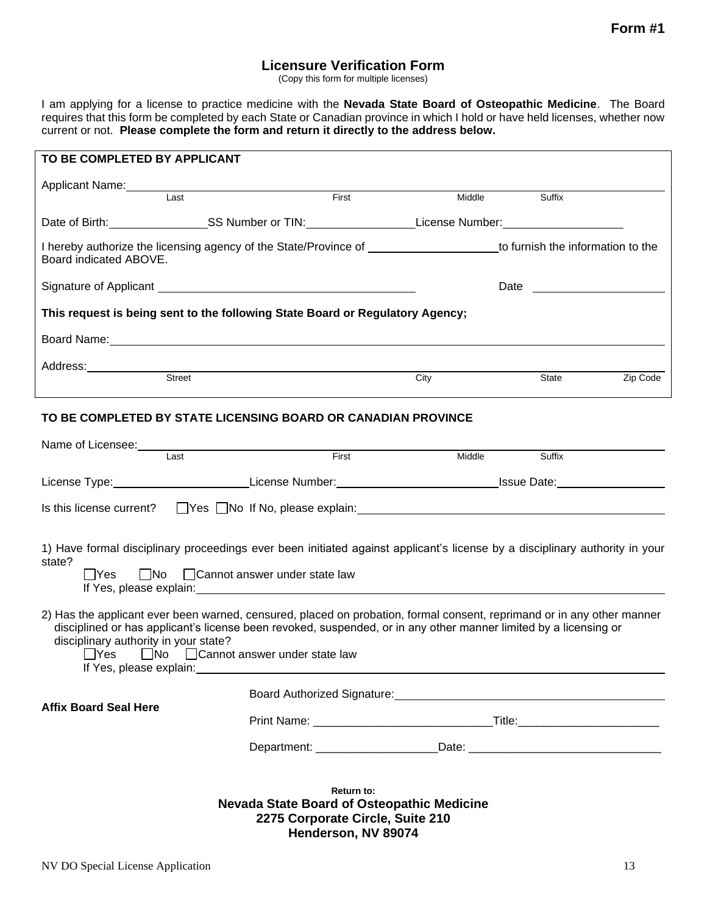## **Licensure Verification Form**

(Copy this form for multiple licenses)

I am applying for a license to practice medicine with the **Nevada State Board of Osteopathic Medicine**. The Board requires that this form be completed by each State or Canadian province in which I hold or have held licenses, whether now current or not. **Please complete the form and return it directly to the address below.**

| TO BE COMPLETED BY APPLICANT                                                                                                                                                                                                                                                        |                                                                                             |                                    |        |        |          |
|-------------------------------------------------------------------------------------------------------------------------------------------------------------------------------------------------------------------------------------------------------------------------------------|---------------------------------------------------------------------------------------------|------------------------------------|--------|--------|----------|
|                                                                                                                                                                                                                                                                                     |                                                                                             |                                    |        |        |          |
| Applicant Name:<br>Last                                                                                                                                                                                                                                                             |                                                                                             | First                              | Middle | Suffix |          |
|                                                                                                                                                                                                                                                                                     |                                                                                             |                                    |        |        |          |
| I hereby authorize the licensing agency of the State/Province of ______________________to furnish the information to the<br>Board indicated ABOVE.                                                                                                                                  |                                                                                             |                                    |        |        |          |
|                                                                                                                                                                                                                                                                                     |                                                                                             |                                    |        |        |          |
| This request is being sent to the following State Board or Regulatory Agency;                                                                                                                                                                                                       |                                                                                             |                                    |        |        |          |
| Board Name: Name and Secretary Annual Secretary Annual Secretary Annual Secretary Annual Secretary Annual Secretary Annual Secretary Annual Secretary Annual Secretary Annual Secretary Annual Secretary Annual Secretary Annu                                                      |                                                                                             |                                    |        |        |          |
|                                                                                                                                                                                                                                                                                     |                                                                                             |                                    |        |        |          |
| Address:<br>Street                                                                                                                                                                                                                                                                  |                                                                                             |                                    | City   | State  | Zip Code |
| TO BE COMPLETED BY STATE LICENSING BOARD OR CANADIAN PROVINCE                                                                                                                                                                                                                       |                                                                                             |                                    |        |        |          |
| Last                                                                                                                                                                                                                                                                                |                                                                                             | First                              | Middle | Suffix |          |
|                                                                                                                                                                                                                                                                                     |                                                                                             |                                    |        |        |          |
|                                                                                                                                                                                                                                                                                     |                                                                                             |                                    |        |        |          |
| 1) Have formal disciplinary proceedings ever been initiated against applicant's license by a disciplinary authority in your<br>state?<br>  Yes                                                                                                                                      | $\Box$ No $\Box$ Cannot answer under state law                                              |                                    |        |        |          |
| 2) Has the applicant ever been warned, censured, placed on probation, formal consent, reprimand or in any other manner<br>disciplined or has applicant's license been revoked, suspended, or in any other manner limited by a licensing or<br>disciplinary authority in your state? | □Yes □No □ Cannot answer under state law<br>If Yes, please explain: If Yes, please explain: |                                    |        |        |          |
|                                                                                                                                                                                                                                                                                     |                                                                                             | <b>Board Authorized Signature:</b> |        |        |          |

### **Affix Board Seal Here**

| Print Name: | ïtle |
|-------------|------|
|             |      |

| Department: | 101c<br>பட |  |
|-------------|------------|--|
|             |            |  |

**Return to: Nevada State Board of Osteopathic Medicine 2275 Corporate Circle, Suite 210 Henderson, NV 89074**